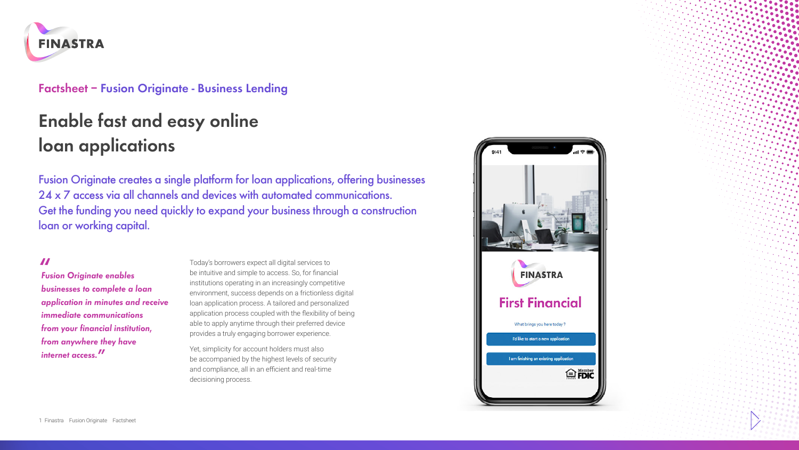

#### **Factsheet – Fusion Originate - Business Lending**

# **Enable fast and easy online loan applications**

Fusion Originate creates a single platform for loan applications, offering businesses 24 x 7 access via all channels and devices with automated communications. Get the funding you need quickly to expand your business through a construction loan or working capital.

**"** *Fusion Originate enables businesses to complete a loan application in minutes and receive immediate communications from your financial institution, from anywhere they have internet access.***"**

Today's borrowers expect all digital services to be intuitive and simple to access. So, for financial institutions operating in an increasingly competitive environment, success depends on a frictionless digital loan application process. A tailored and personalized application process coupled with the flexibility of being able to apply anytime through their preferred device provides a truly engaging borrower experience.

Yet, simplicity for account holders must also be accompanied by the highest levels of security and compliance, all in an efficient and real-time decisioning process.

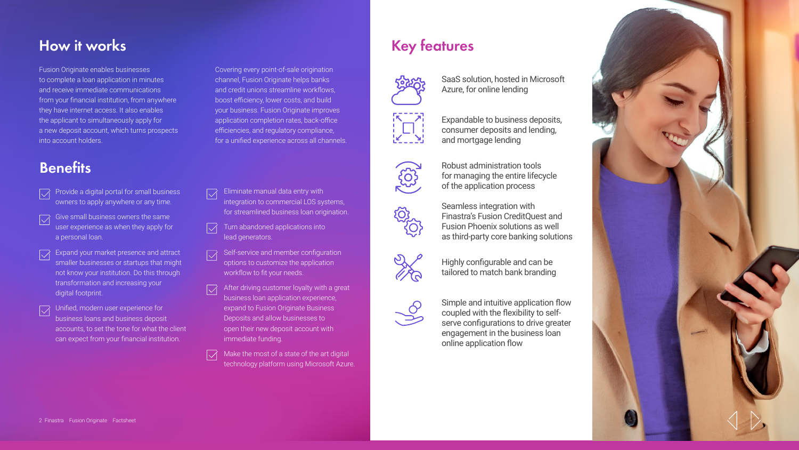## **How it works**

Fusion Originate enables businesses to complete a loan application in minutes and receive immediate communications from your financial institution, from anywhere they have internet access. It also enables the applicant to simultaneously apply for a new deposit account, which turns prospects into account holders.

## **Benefits**

- Provide a digital portal for small business owners to apply anywhere or any time.
- Give small business owners the same user experience as when they apply for a personal loan.
- Expand your market presence and attract smaller businesses or startups that might not know your institution. Do this through transformation and increasing your digital footprint.
- Unified, modern user experience for business loans and business deposit accounts, to set the tone for what the client can expect from your financial institution.

Covering every point-of-sale origination channel, Fusion Originate helps banks and credit unions streamline workflows, boost efficiency, lower costs, and build your business. Fusion Originate improves application completion rates, back-office efficiencies, and regulatory compliance, for a unified experience across all channels.

- Eliminate manual data entry with  $\overline{\vee}$ integration to commercial LOS systems, for streamlined business loan origination.
- $\overline{\vee}$ Turn abandoned applications into lead generators.
- Self-service and member configuration  $\overline{\vee}$ options to customize the application workflow to fit your needs.
- After driving customer loyalty with a great  $\overline{\vee}$ business loan application experience, expand to Fusion Originate Business Deposits and allow businesses to open their new deposit account with immediate funding.
- Make the most of a state of the art digital  $\overrightarrow{\hspace{1cm}}$ technology platform using Microsoft Azure.

## **Key features**



SaaS solution, hosted in Microsoft Azure, for online lending

Expandable to business deposits, consumer deposits and lending,

and mortgage lending



Robust administration tools for managing the entire lifecycle of the application process

Seamless integration with Finastra's Fusion CreditQuest and Fusion Phoenix solutions as well as third‑party core banking solutions



Highly configurable and can be tailored to match bank branding



Simple and intuitive application flow coupled with the flexibility to selfserve configurations to drive greater engagement in the business loan online application flow